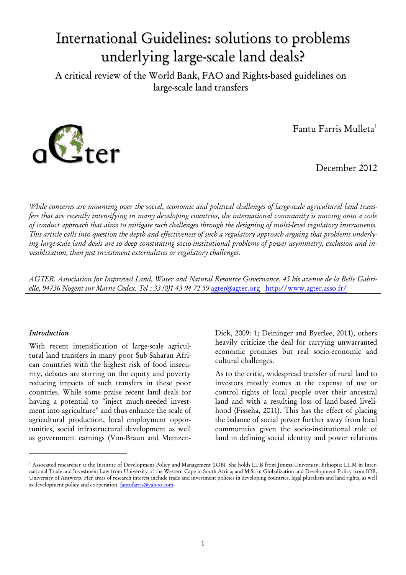# International Guidelines: solutions to problems underlying large-scale land deals?

A critical review of the World Bank, FAO and Rights-based guidelines on large-scale land transfers



Fantu Farris Mulleta1

December 2012

*While concerns are mounting over the social, economic and political challenges of large-scale agricultural land transfers that are recently intensifying in many developing countries, the international community is moving onto a code of conduct approach that aims to mitigate such challenges through the designing of multi-level regulatory instruments. This article calls into question the depth and effectiveness of such a regulatory approach arguing that problems underlying large-scale land deals are so deep constituting socio-institutional problems of power asymmetry, exclusion and invisiblization, than just investment externalities or regulatory challenges.* 

*AGTER. Association for Improved Land, Water and Natural Resource Governance. 45 bis avenue de la Belle Gabrielle, 94736 Nogent sur Marne Cedex. Tel : 33 (0)1 43 94 72 59* agter@agter.orghttp://www.agter.asso.fr/

#### *Introduction*

With recent intensification of large-scale agricultural land transfers in many poor Sub-Saharan African countries with the highest risk of food insecurity, debates are stirring on the equity and poverty reducing impacts of such transfers in these poor countries. While some praise recent land deals for having a potential to "inject much-needed investment into agriculture" and thus enhance the scale of agricultural production, local employment opportunities, social infrastructural development as well as government earnings (Von-Braun and MeinzenDick, 2009: 1; Deininger and Byerlee, 2011), others heavily criticize the deal for carrying unwarranted economic promises but real socio-economic and cultural challenges.

As to the critic, widespread transfer of rural land to investors mostly comes at the expense of use or control rights of local people over their ancestral land and with a resulting loss of land-based livelihood (Fisseha, 2011). This has the effect of placing the balance of social power further away from local communities given the socio-institutional role of land in defining social identity and power relations

<sup>&</sup>lt;sup>1</sup> Associated researcher at the Institute of Development Policy and Management (IOB). She holds LL.B from Jimma University, Ethiopia; LL.M in International Trade and Investment Law from University of the Western Cape in South Africa; and M.Sc in Globalization and Development Policy from IOB, University of Antwerp. Her areas of research interest include trade and investment policies in developing countries, legal pluralism and land rights, as well as development policy and cooperation. fantufarris@yahoo.com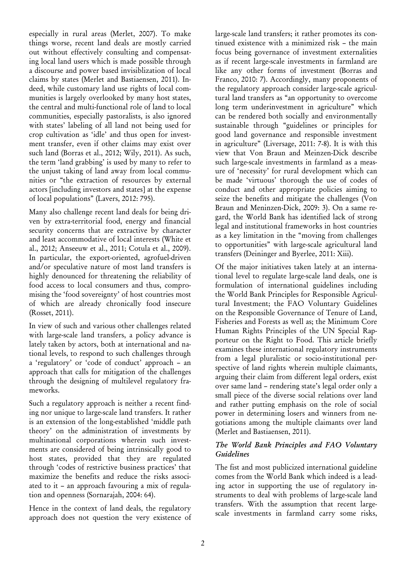especially in rural areas (Merlet, 2007). To make things worse, recent land deals are mostly carried out without effectively consulting and compensating local land users which is made possible through a discourse and power based invisiblization of local claims by states (Merlet and Bastiaensen, 2011). Indeed, while customary land use rights of local communities is largely overlooked by many host states, the central and multi-functional role of land to local communities, especially pastoralists, is also ignored with states' labeling of all land not being used for crop cultivation as 'idle' and thus open for investment transfer, even if other claims may exist over such land (Borras et al., 2012; Wily, 2011). As such, the term 'land grabbing' is used by many to refer to the unjust taking of land away from local communities or "the extraction of resources by external actors [including investors and states] at the expense of local populations" (Lavers, 2012: 795).

Many also challenge recent land deals for being driven by extra-territorial food, energy and financial security concerns that are extractive by character and least accommodative of local interests (White et al., 2012; Anseeuw et al., 2011; Cotula et al., 2009). In particular, the export-oriented, agrofuel-driven and/or speculative nature of most land transfers is highly denounced for threatening the reliability of food access to local consumers and thus, compromising the 'food sovereignty' of host countries most of which are already chronically food insecure (Rosset, 2011).

In view of such and various other challenges related with large-scale land transfers, a policy advance is lately taken by actors, both at international and national levels, to respond to such challenges through a 'regulatory' or 'code of conduct' approach – an approach that calls for mitigation of the challenges through the designing of multilevel regulatory frameworks.

Such a regulatory approach is neither a recent finding nor unique to large-scale land transfers. It rather is an extension of the long-established 'middle path theory' on the administration of investments by multinational corporations wherein such investments are considered of being intrinsically good to host states, provided that they are regulated through 'codes of restrictive business practices' that maximize the benefits and reduce the risks associated to it – an approach favouring a mix of regulation and openness (Sornarajah, 2004: 64).

Hence in the context of land deals, the regulatory approach does not question the very existence of large-scale land transfers; it rather promotes its continued existence with a minimized risk – the main focus being governance of investment externalities as if recent large-scale investments in farmland are like any other forms of investment (Borras and Franco, 2010: 7). Accordingly, many proponents of the regulatory approach consider large-scale agricultural land transfers as "an opportunity to overcome long term underinvestment in agriculture" which can be rendered both socially and environmentally sustainable through "guidelines or principles for good land governance and responsible investment in agriculture" (Liversage, 2011: 7-8). It is with this view that Von Braun and Meinzen-Dick describe such large-scale investments in farmland as a measure of 'necessity' for rural development which can be made 'virtuous' thorough the use of codes of conduct and other appropriate policies aiming to seize the benefits and mitigate the challenges (Von Braun and Meninzen-Dick, 2009: 3). On a same regard, the World Bank has identified lack of strong legal and institutional frameworks in host countries as a key limitation in the "moving from challenges to opportunities" with large-scale agricultural land transfers (Deininger and Byerlee, 2011: Xiii).

Of the major initiatives taken lately at an international level to regulate large-scale land deals, one is formulation of international guidelines including the World Bank Principles for Responsible Agricultural Investment; the FAO Voluntary Guidelines on the Responsible Governance of Tenure of Land, Fisheries and Forests as well as; the Minimum Core Human Rights Principles of the UN Special Rapporteur on the Right to Food. This article briefly examines these international regulatory instruments from a legal pluralistic or socio-institutional perspective of land rights wherein multiple claimants, arguing their claim from different legal orders, exist over same land – rendering state's legal order only a small piece of the diverse social relations over land and rather putting emphasis on the role of social power in determining losers and winners from negotiations among the multiple claimants over land (Merlet and Bastiaensen, 2011).

### *The World Bank Principles and FAO Voluntary Guidelines*

The fist and most publicized international guideline comes from the World Bank which indeed is a leading actor in supporting the use of regulatory instruments to deal with problems of large-scale land transfers. With the assumption that recent largescale investments in farmland carry some risks,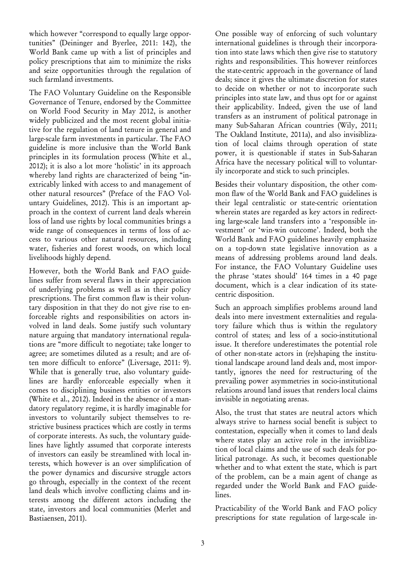which however "correspond to equally large opportunities" (Deininger and Byerlee, 2011: 142), the World Bank came up with a list of principles and policy prescriptions that aim to minimize the risks and seize opportunities through the regulation of such farmland investments.

The FAO Voluntary Guideline on the Responsible Governance of Tenure, endorsed by the Committee on World Food Security in May 2012, is another widely publicized and the most recent global initiative for the regulation of land tenure in general and large-scale farm investments in particular. The FAO guideline is more inclusive than the World Bank principles in its formulation process (White et al., 2012); it is also a lot more 'holistic' in its approach whereby land rights are characterized of being "inextricably linked with access to and management of other natural resources" (Preface of the FAO Voluntary Guidelines, 2012). This is an important approach in the context of current land deals wherein loss of land use rights by local communities brings a wide range of consequences in terms of loss of access to various other natural resources, including water, fisheries and forest woods, on which local livelihoods highly depend.

However, both the World Bank and FAO guidelines suffer from several flaws in their appreciation of underlying problems as well as in their policy prescriptions. The first common flaw is their voluntary disposition in that they do not give rise to enforceable rights and responsibilities on actors involved in land deals. Some justify such voluntary nature arguing that mandatory international regulations are "more difficult to negotiate; take longer to agree; are sometimes diluted as a result; and are often more difficult to enforce" (Liversage, 2011: 9). While that is generally true, also voluntary guidelines are hardly enforceable especially when it comes to disciplining business entities or investors (White et al., 2012). Indeed in the absence of a mandatory regulatory regime, it is hardly imaginable for investors to voluntarily subject themselves to restrictive business practices which are costly in terms of corporate interests. As such, the voluntary guidelines have lightly assumed that corporate interests of investors can easily be streamlined with local interests, which however is an over simplification of the power dynamics and discursive struggle actors go through, especially in the context of the recent land deals which involve conflicting claims and interests among the different actors including the state, investors and local communities (Merlet and Bastiaensen, 2011).

One possible way of enforcing of such voluntary international guidelines is through their incorporation into state laws which then give rise to statutory rights and responsibilities. This however reinforces the state-centric approach in the governance of land deals; since it gives the ultimate discretion for states to decide on whether or not to incorporate such principles into state law, and thus opt for or against their applicability. Indeed, given the use of land transfers as an instrument of political patronage in many Sub-Saharan African countries (Wily, 2011; The Oakland Institute, 2011a), and also invisiblization of local claims through operation of state power, it is questionable if states in Sub-Saharan Africa have the necessary political will to voluntarily incorporate and stick to such principles.

Besides their voluntary disposition, the other common flaw of the World Bank and FAO guidelines is their legal centralistic or state-centric orientation wherein states are regarded as key actors in redirecting large-scale land transfers into a 'responsible investment' or 'win-win outcome'. Indeed, both the World Bank and FAO guidelines heavily emphasize on a top-down state legislative innovation as a means of addressing problems around land deals. For instance, the FAO Voluntary Guideline uses the phrase 'states should' 164 times in a 40 page document, which is a clear indication of its statecentric disposition.

Such an approach simplifies problems around land deals into mere investment externalities and regulatory failure which thus is within the regulatory control of states; and less of a socio-institutional issue. It therefore underestimates the potential role of other non-state actors in (re)shaping the institutional landscape around land deals and, most importantly, ignores the need for restructuring of the prevailing power asymmetries in socio-institutional relations around land issues that renders local claims invisible in negotiating arenas.

Also, the trust that states are neutral actors which always strive to harness social benefit is subject to contestation, especially when it comes to land deals where states play an active role in the invisiblization of local claims and the use of such deals for political patronage. As such, it becomes questionable whether and to what extent the state, which is part of the problem, can be a main agent of change as regarded under the World Bank and FAO guidelines.

Practicability of the World Bank and FAO policy prescriptions for state regulation of large-scale in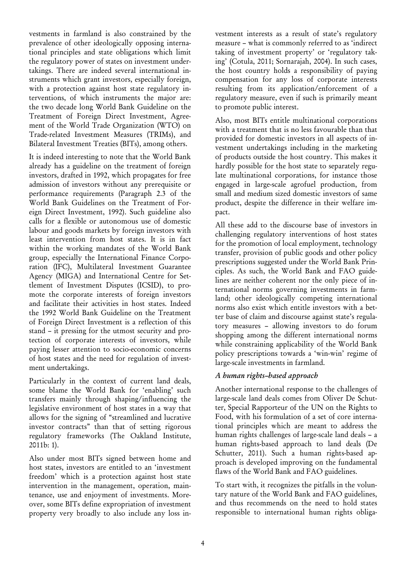vestments in farmland is also constrained by the prevalence of other ideologically opposing international principles and state obligations which limit the regulatory power of states on investment undertakings. There are indeed several international instruments which grant investors, especially foreign, with a protection against host state regulatory interventions, of which instruments the major are: the two decade long World Bank Guideline on the Treatment of Foreign Direct Investment, Agreement of the World Trade Organization (WTO) on Trade-related Investment Measures (TRIMs), and Bilateral Investment Treaties (BITs), among others.

It is indeed interesting to note that the World Bank already has a guideline on the treatment of foreign investors, drafted in 1992, which propagates for free admission of investors without any prerequisite or performance requirements (Paragraph 2.3 of the World Bank Guidelines on the Treatment of Foreign Direct Investment, 1992). Such guideline also calls for a flexible or autonomous use of domestic labour and goods markets by foreign investors with least intervention from host states. It is in fact within the working mandates of the World Bank group, especially the International Finance Corporation (IFC), Multilateral Investment Guarantee Agency (MIGA) and International Centre for Settlement of Investment Disputes (ICSID), to promote the corporate interests of foreign investors and facilitate their activities in host states. Indeed the 1992 World Bank Guideline on the Treatment of Foreign Direct Investment is a reflection of this stand – it pressing for the utmost security and protection of corporate interests of investors, while paying lesser attention to socio-economic concerns of host states and the need for regulation of investment undertakings.

Particularly in the context of current land deals, some blame the World Bank for 'enabling' such transfers mainly through shaping/influencing the legislative environment of host states in a way that allows for the signing of "streamlined and lucrative investor contracts" than that of setting rigorous regulatory frameworks (The Oakland Institute, 2011b: 1).

Also under most BITs signed between home and host states, investors are entitled to an 'investment freedom' which is a protection against host state intervention in the management, operation, maintenance, use and enjoyment of investments. Moreover, some BITs define expropriation of investment property very broadly to also include any loss investment interests as a result of state's regulatory measure – what is commonly referred to as 'indirect taking of investment property' or 'regulatory taking' (Cotula, 2011; Sornarajah, 2004). In such cases, the host country holds a responsibility of paying compensation for any loss of corporate interests resulting from its application/enforcement of a regulatory measure, even if such is primarily meant to promote public interest.

Also, most BITs entitle multinational corporations with a treatment that is no less favourable than that provided for domestic investors in all aspects of investment undertakings including in the marketing of products outside the host country. This makes it hardly possible for the host state to separately regulate multinational corporations, for instance those engaged in large-scale agrofuel production, from small and medium sized domestic investors of same product, despite the difference in their welfare impact.

All these add to the discourse base of investors in challenging regulatory interventions of host states for the promotion of local employment, technology transfer, provision of public goods and other policy prescriptions suggested under the World Bank Principles. As such, the World Bank and FAO guidelines are neither coherent nor the only piece of international norms governing investments in farmland; other ideologically competing international norms also exist which entitle investors with a better base of claim and discourse against state's regulatory measures – allowing investors to do forum shopping among the different international norms while constraining applicability of the World Bank policy prescriptions towards a 'win-win' regime of large-scale investments in farmland.

## *A human rights–based approach*

Another international response to the challenges of large-scale land deals comes from Oliver De Schutter, Special Rapporteur of the UN on the Rights to Food, with his formulation of a set of core international principles which are meant to address the human rights challenges of large-scale land deals – a human rights-based approach to land deals (De Schutter, 2011). Such a human rights-based approach is developed improving on the fundamental flaws of the World Bank and FAO guidelines.

To start with, it recognizes the pitfalls in the voluntary nature of the World Bank and FAO guidelines, and thus recommends on the need to hold states responsible to international human rights obliga-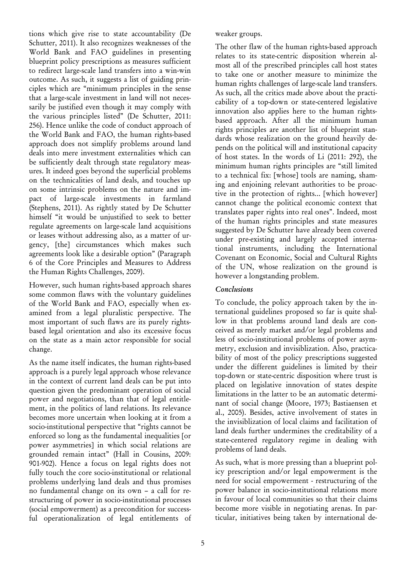tions which give rise to state accountability (De Schutter, 2011). It also recognizes weaknesses of the World Bank and FAO guidelines in presenting blueprint policy prescriptions as measures sufficient to redirect large-scale land transfers into a win-win outcome. As such, it suggests a list of guiding principles which are "minimum principles in the sense that a large-scale investment in land will not necessarily be justified even though it may comply with the various principles listed" (De Schutter, 2011: 256). Hence unlike the code of conduct approach of the World Bank and FAO, the human rights-based approach does not simplify problems around land deals into mere investment externalities which can be sufficiently dealt through state regulatory measures. It indeed goes beyond the superficial problems on the technicalities of land deals, and touches up on some intrinsic problems on the nature and impact of large-scale investments in farmland (Stephens, 2011). As rightly stated by De Schutter himself "it would be unjustified to seek to better regulate agreements on large-scale land acquisitions or leases without addressing also, as a matter of urgency, [the] circumstances which makes such agreements look like a desirable option" (Paragraph 6 of the Core Principles and Measures to Address the Human Rights Challenges, 2009).

However, such human rights-based approach shares some common flaws with the voluntary guidelines of the World Bank and FAO, especially when examined from a legal pluralistic perspective. The most important of such flaws are its purely rightsbased legal orientation and also its excessive focus on the state as a main actor responsible for social change.

As the name itself indicates, the human rights-based approach is a purely legal approach whose relevance in the context of current land deals can be put into question given the predominant operation of social power and negotiations, than that of legal entitlement, in the politics of land relations. Its relevance becomes more uncertain when looking at it from a socio-institutional perspective that "rights cannot be enforced so long as the fundamental inequalities [or power asymmetries] in which social relations are grounded remain intact" (Hall in Cousins, 2009: 901-902). Hence a focus on legal rights does not fully touch the core socio-institutional or relational problems underlying land deals and thus promises no fundamental change on its own – a call for restructuring of power in socio-institutional processes (social empowerment) as a precondition for successful operationalization of legal entitlements of weaker groups.

The other flaw of the human rights-based approach relates to its state-centric disposition wherein almost all of the prescribed principles call host states to take one or another measure to minimize the human rights challenges of large-scale land transfers. As such, all the critics made above about the practicability of a top-down or state-centered legislative innovation also applies here to the human rightsbased approach. After all the minimum human rights principles are another list of blueprint standards whose realization on the ground heavily depends on the political will and institutional capacity of host states. In the words of Li (2011: 292), the minimum human rights principles are "still limited to a technical fix: [whose] tools are naming, shaming and enjoining relevant authorities to be proactive in the protection of rights... [which however] cannot change the political economic context that translates paper rights into real ones". Indeed, most of the human rights principles and state measures suggested by De Schutter have already been covered under pre-existing and largely accepted international instruments, including the International Covenant on Economic, Social and Cultural Rights of the UN, whose realization on the ground is however a longstanding problem.

## *Conclusions*

To conclude, the policy approach taken by the international guidelines proposed so far is quite shallow in that problems around land deals are conceived as merely market and/or legal problems and less of socio-institutional problems of power asymmetry, exclusion and invisiblization. Also, practicability of most of the policy prescriptions suggested under the different guidelines is limited by their top-down or state-centric disposition where trust is placed on legislative innovation of states despite limitations in the latter to be an automatic determinant of social change (Moore, 1973; Bastiaensen et al., 2005). Besides, active involvement of states in the invisiblization of local claims and facilitation of land deals further undermines the creditability of a state-centered regulatory regime in dealing with problems of land deals.

As such, what is more pressing than a blueprint policy prescription and/or legal empowerment is the need for social empowerment - restructuring of the power balance in socio-institutional relations more in favour of local communities so that their claims become more visible in negotiating arenas. In particular, initiatives being taken by international de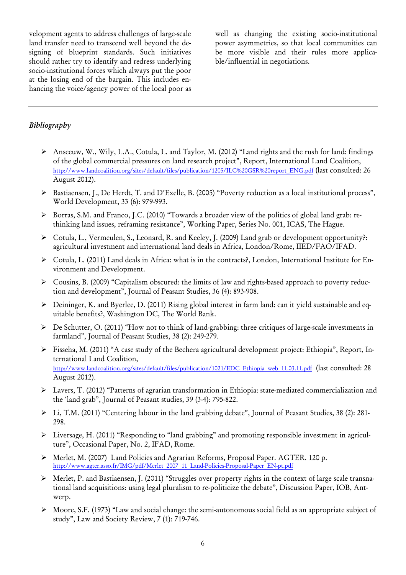velopment agents to address challenges of large-scale land transfer need to transcend well beyond the designing of blueprint standards. Such initiatives should rather try to identify and redress underlying socio-institutional forces which always put the poor at the losing end of the bargain. This includes enhancing the voice/agency power of the local poor as

well as changing the existing socio-institutional power asymmetries, so that local communities can be more visible and their rules more applicable/influential in negotiations.

### *Bibliography*

- ¾ Anseeuw, W., Wily, L.A., Cotula, L. and Taylor, M. (2012) "Land rights and the rush for land: findings of the global commercial pressures on land research project", Report, International Land Coalition, http://www.landcoalition.org/sites/default/files/publication/1205/ILC%20GSR%20report\_ENG.pdf (last consulted: 26 August 2012).
- ¾ Bastiaensen, J., De Herdt, T. and D'Exelle, B. (2005) "Poverty reduction as a local institutional process", World Development, 33 (6): 979-993.
- ¾ Borras, S.M. and Franco, J.C. (2010) "Towards a broader view of the politics of global land grab: rethinking land issues, reframing resistance", Working Paper, Series No. 001, ICAS, The Hague.
- ¾ Cotula, L., Vermeulen, S., Leonard, R. and Keeley, J. (2009) Land grab or development opportunity?: agricultural investment and international land deals in Africa, London/Rome, IIED/FAO/IFAD.
- ¾ Cotula, L. (2011) Land deals in Africa: what is in the contracts?, London, International Institute for Environment and Development.
- ¾ Cousins, B. (2009) "Capitalism obscured: the limits of law and rights-based approach to poverty reduction and development", Journal of Peasant Studies, 36 (4): 893-908.
- ¾ Deininger, K. and Byerlee, D. (2011) Rising global interest in farm land: can it yield sustainable and equitable benefits?, Washington DC, The World Bank.
- ¾ De Schutter, O. (2011) "How not to think of land-grabbing: three critiques of large-scale investments in farmland", Journal of Peasant Studies, 38 (2): 249-279.
- ¾ Fisseha, M. (2011) "A case study of the Bechera agricultural development project: Ethiopia", Report, International Land Coalition, http://www.landcoalition.org/sites/default/files/publication/1021/EDC\_Ethiopia\_web\_11.03.11.pdf (last consulted: 28 August 2012).
- ¾ Lavers, T. (2012) "Patterns of agrarian transformation in Ethiopia: state-mediated commercialization and the 'land grab", Journal of Peasant studies, 39 (3-4): 795-822.
- ¾ Li, T.M. (2011) "Centering labour in the land grabbing debate", Journal of Peasant Studies, 38 (2): 281- 298.
- $\triangleright$  Liversage, H. (2011) "Responding to "land grabbing" and promoting responsible investment in agriculture", Occasional Paper, No. 2, IFAD, Rome.
- ¾ Merlet, M. (2007) Land Policies and Agrarian Reforms, Proposal Paper. AGTER. 120 p. http://www.agter.asso.fr/IMG/pdf/Merlet\_2007\_11\_Land-Policies-Proposal-Paper\_EN-pt.pdf
- ¾ Merlet, P. and Bastiaensen, J. (2011) "Struggles over property rights in the context of large scale transnational land acquisitions: using legal pluralism to re-politicize the debate", Discussion Paper, IOB, Antwerp.
- ¾ Moore, S.F. (1973) "Law and social change: the semi-autonomous social field as an appropriate subject of study", Law and Society Review, 7 (1): 719-746.